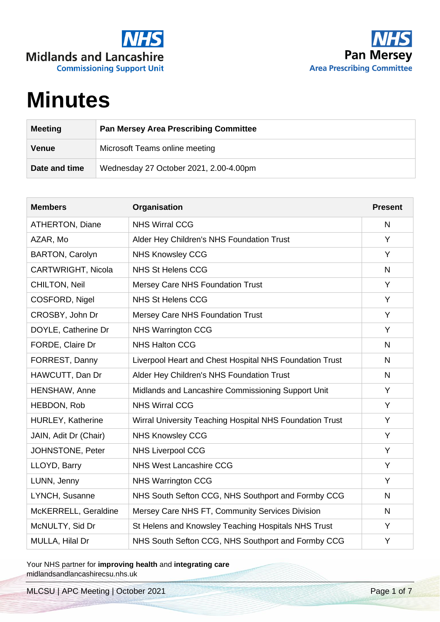



## **Minutes**

| <b>Meeting</b> | <b>Pan Mersey Area Prescribing Committee</b> |
|----------------|----------------------------------------------|
| <b>Venue</b>   | Microsoft Teams online meeting               |
| Date and time  | Wednesday 27 October 2021, 2.00-4.00pm       |

| <b>Members</b>            | Organisation                                             | <b>Present</b> |
|---------------------------|----------------------------------------------------------|----------------|
| <b>ATHERTON, Diane</b>    | <b>NHS Wirral CCG</b>                                    | $\mathsf{N}$   |
| AZAR, Mo                  | Alder Hey Children's NHS Foundation Trust                | Y              |
| <b>BARTON, Carolyn</b>    | <b>NHS Knowsley CCG</b>                                  | Y              |
| <b>CARTWRIGHT, Nicola</b> | <b>NHS St Helens CCG</b>                                 | N              |
| <b>CHILTON, Neil</b>      | <b>Mersey Care NHS Foundation Trust</b>                  | Y              |
| COSFORD, Nigel            | <b>NHS St Helens CCG</b>                                 | Y              |
| CROSBY, John Dr           | <b>Mersey Care NHS Foundation Trust</b>                  | Y              |
| DOYLE, Catherine Dr       | <b>NHS Warrington CCG</b>                                | Y              |
| FORDE, Claire Dr          | <b>NHS Halton CCG</b>                                    | $\mathsf{N}$   |
| FORREST, Danny            | Liverpool Heart and Chest Hospital NHS Foundation Trust  | $\mathsf{N}$   |
| HAWCUTT, Dan Dr           | Alder Hey Children's NHS Foundation Trust                | $\mathsf{N}$   |
| HENSHAW, Anne             | Midlands and Lancashire Commissioning Support Unit       | Y              |
| HEBDON, Rob               | <b>NHS Wirral CCG</b>                                    | Y              |
| HURLEY, Katherine         | Wirral University Teaching Hospital NHS Foundation Trust | Y              |
| JAIN, Adit Dr (Chair)     | <b>NHS Knowsley CCG</b>                                  | Y              |
| JOHNSTONE, Peter          | <b>NHS Liverpool CCG</b>                                 | Y              |
| LLOYD, Barry              | <b>NHS West Lancashire CCG</b>                           | Y              |
| LUNN, Jenny               | <b>NHS Warrington CCG</b>                                | Y              |
| LYNCH, Susanne            | NHS South Sefton CCG, NHS Southport and Formby CCG       | $\mathsf{N}$   |
| McKERRELL, Geraldine      | Mersey Care NHS FT, Community Services Division          | N              |
| McNULTY, Sid Dr           | St Helens and Knowsley Teaching Hospitals NHS Trust      | Y              |
| MULLA, Hilal Dr           | NHS South Sefton CCG, NHS Southport and Formby CCG       | Y              |

Your NHS partner for **improving health** and **integrating care** midlandsandlancashirecsu.nhs.uk

MLCSU | APC Meeting | October 2021 Page 1 of 7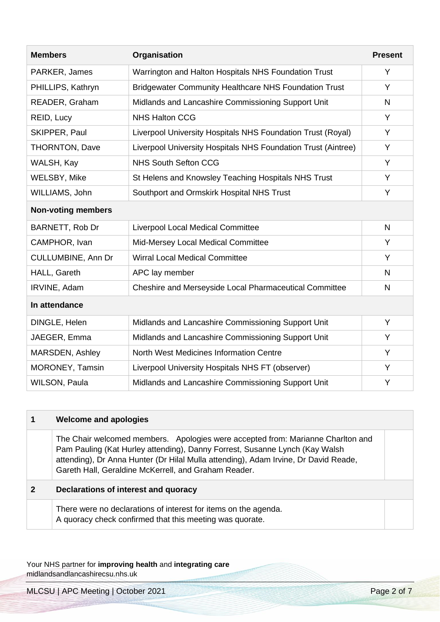| <b>Members</b>            | Organisation                                                  | <b>Present</b> |
|---------------------------|---------------------------------------------------------------|----------------|
| PARKER, James             | Warrington and Halton Hospitals NHS Foundation Trust          | Y              |
| PHILLIPS, Kathryn         | <b>Bridgewater Community Healthcare NHS Foundation Trust</b>  | Y              |
| READER, Graham            | Midlands and Lancashire Commissioning Support Unit            | $\mathsf{N}$   |
| REID, Lucy                | <b>NHS Halton CCG</b>                                         | Y              |
| SKIPPER, Paul             | Liverpool University Hospitals NHS Foundation Trust (Royal)   | Y              |
| <b>THORNTON, Dave</b>     | Liverpool University Hospitals NHS Foundation Trust (Aintree) | Y              |
| WALSH, Kay                | <b>NHS South Sefton CCG</b>                                   | Y              |
| WELSBY, Mike              | St Helens and Knowsley Teaching Hospitals NHS Trust           | Y              |
| WILLIAMS, John            | Southport and Ormskirk Hospital NHS Trust                     | Y              |
| <b>Non-voting members</b> |                                                               |                |
| BARNETT, Rob Dr           | Liverpool Local Medical Committee                             | $\mathsf{N}$   |
| CAMPHOR, Ivan             | Mid-Mersey Local Medical Committee                            | Y              |
| <b>CULLUMBINE, Ann Dr</b> | Wirral Local Medical Committee                                | Y              |
| HALL, Gareth              | APC lay member                                                | N              |
| IRVINE, Adam              | Cheshire and Merseyside Local Pharmaceutical Committee        | N              |
| In attendance             |                                                               |                |
| DINGLE, Helen             | Midlands and Lancashire Commissioning Support Unit            | Y              |
| JAEGER, Emma              | Midlands and Lancashire Commissioning Support Unit            | Y              |
| MARSDEN, Ashley           | North West Medicines Information Centre                       | Y              |
| MORONEY, Tamsin           | Liverpool University Hospitals NHS FT (observer)              | Y              |
| WILSON, Paula             | Midlands and Lancashire Commissioning Support Unit            | Υ              |

| <b>Welcome and apologies</b>                                                                                                                                                                                                                                                                                   |  |
|----------------------------------------------------------------------------------------------------------------------------------------------------------------------------------------------------------------------------------------------------------------------------------------------------------------|--|
| The Chair welcomed members. Apologies were accepted from: Marianne Charlton and<br>Pam Pauling (Kat Hurley attending), Danny Forrest, Susanne Lynch (Kay Walsh)<br>attending), Dr Anna Hunter (Dr Hilal Mulla attending), Adam Irvine, Dr David Reade,<br>Gareth Hall, Geraldine McKerrell, and Graham Reader. |  |
| Declarations of interest and quoracy                                                                                                                                                                                                                                                                           |  |
| There were no declarations of interest for items on the agenda.<br>A quoracy check confirmed that this meeting was quorate.                                                                                                                                                                                    |  |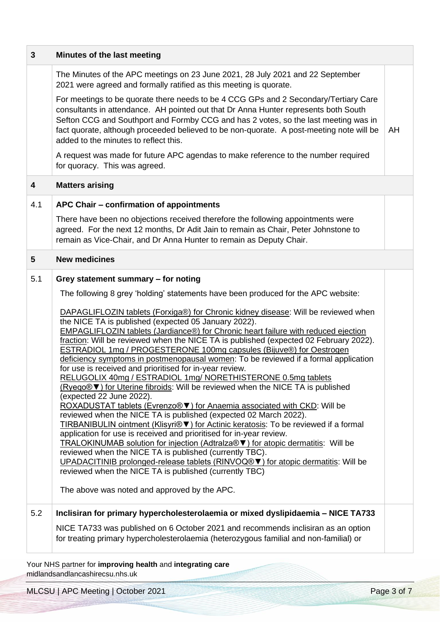| 3   | Minutes of the last meeting                                                                                                                                                                                                                                                                                                                                                                                                                                                                                                                                                                                                                                                                                                                                                                                                                                                                                                                                                                                                                                                                                                                                                                                                                                                                                                                                                                                                                                                                                                       |    |
|-----|-----------------------------------------------------------------------------------------------------------------------------------------------------------------------------------------------------------------------------------------------------------------------------------------------------------------------------------------------------------------------------------------------------------------------------------------------------------------------------------------------------------------------------------------------------------------------------------------------------------------------------------------------------------------------------------------------------------------------------------------------------------------------------------------------------------------------------------------------------------------------------------------------------------------------------------------------------------------------------------------------------------------------------------------------------------------------------------------------------------------------------------------------------------------------------------------------------------------------------------------------------------------------------------------------------------------------------------------------------------------------------------------------------------------------------------------------------------------------------------------------------------------------------------|----|
|     | The Minutes of the APC meetings on 23 June 2021, 28 July 2021 and 22 September<br>2021 were agreed and formally ratified as this meeting is quorate.                                                                                                                                                                                                                                                                                                                                                                                                                                                                                                                                                                                                                                                                                                                                                                                                                                                                                                                                                                                                                                                                                                                                                                                                                                                                                                                                                                              |    |
|     | For meetings to be quorate there needs to be 4 CCG GPs and 2 Secondary/Tertiary Care<br>consultants in attendance. AH pointed out that Dr Anna Hunter represents both South<br>Sefton CCG and Southport and Formby CCG and has 2 votes, so the last meeting was in<br>fact quorate, although proceeded believed to be non-quorate. A post-meeting note will be<br>added to the minutes to reflect this.                                                                                                                                                                                                                                                                                                                                                                                                                                                                                                                                                                                                                                                                                                                                                                                                                                                                                                                                                                                                                                                                                                                           | AH |
|     | A request was made for future APC agendas to make reference to the number required<br>for quoracy. This was agreed.                                                                                                                                                                                                                                                                                                                                                                                                                                                                                                                                                                                                                                                                                                                                                                                                                                                                                                                                                                                                                                                                                                                                                                                                                                                                                                                                                                                                               |    |
| 4   | <b>Matters arising</b>                                                                                                                                                                                                                                                                                                                                                                                                                                                                                                                                                                                                                                                                                                                                                                                                                                                                                                                                                                                                                                                                                                                                                                                                                                                                                                                                                                                                                                                                                                            |    |
| 4.1 | APC Chair - confirmation of appointments                                                                                                                                                                                                                                                                                                                                                                                                                                                                                                                                                                                                                                                                                                                                                                                                                                                                                                                                                                                                                                                                                                                                                                                                                                                                                                                                                                                                                                                                                          |    |
|     | There have been no objections received therefore the following appointments were<br>agreed. For the next 12 months, Dr Adit Jain to remain as Chair, Peter Johnstone to<br>remain as Vice-Chair, and Dr Anna Hunter to remain as Deputy Chair.                                                                                                                                                                                                                                                                                                                                                                                                                                                                                                                                                                                                                                                                                                                                                                                                                                                                                                                                                                                                                                                                                                                                                                                                                                                                                    |    |
| 5   | <b>New medicines</b>                                                                                                                                                                                                                                                                                                                                                                                                                                                                                                                                                                                                                                                                                                                                                                                                                                                                                                                                                                                                                                                                                                                                                                                                                                                                                                                                                                                                                                                                                                              |    |
| 5.1 | Grey statement summary - for noting<br>The following 8 grey 'holding' statements have been produced for the APC website:<br>DAPAGLIFLOZIN tablets (Forxiga®) for Chronic kidney disease: Will be reviewed when<br>the NICE TA is published (expected 05 January 2022).<br>EMPAGLIFLOZIN tablets (Jardiance®) for Chronic heart failure with reduced ejection<br>fraction: Will be reviewed when the NICE TA is published (expected 02 February 2022).<br><b>ESTRADIOL 1mg / PROGESTERONE 100mg capsules (Bijuve®) for Oestrogen</b><br>deficiency symptoms in postmenopausal women: To be reviewed if a formal application<br>for use is received and prioritised for in-year review.<br>RELUGOLIX 40mg / ESTRADIOL 1mg/ NORETHISTERONE 0.5mg tablets<br>(Ryeqo® V) for Uterine fibroids: Will be reviewed when the NICE TA is published<br>(expected 22 June 2022).<br>ROXADUSTAT tablets (Evrenzo® V) for Anaemia associated with CKD: Will be<br>reviewed when the NICE TA is published (expected 02 March 2022).<br>TIRBANIBULIN ointment (Klisyri® V) for Actinic keratosis: To be reviewed if a formal<br>application for use is received and prioritised for in-year review.<br>TRALOKINUMAB solution for injection (Adtralza® ▼) for atopic dermatitis: Will be<br>reviewed when the NICE TA is published (currently TBC).<br>UPADACITINIB prolonged-release tablets (RINVOQ® V) for atopic dermatitis: Will be<br>reviewed when the NICE TA is published (currently TBC)<br>The above was noted and approved by the APC. |    |
| 5.2 | Inclisiran for primary hypercholesterolaemia or mixed dyslipidaemia - NICE TA733<br>NICE TA733 was published on 6 October 2021 and recommends inclisiran as an option<br>for treating primary hypercholesterolaemia (heterozygous familial and non-familial) or                                                                                                                                                                                                                                                                                                                                                                                                                                                                                                                                                                                                                                                                                                                                                                                                                                                                                                                                                                                                                                                                                                                                                                                                                                                                   |    |

MLCSU | APC Meeting | October 2021 Page 3 of 7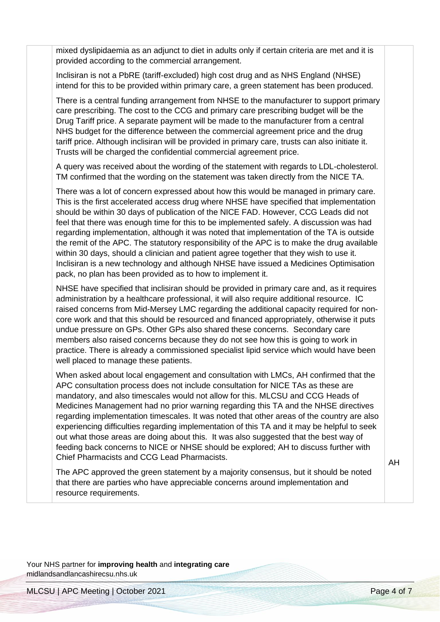mixed dyslipidaemia as an adjunct to diet in adults only if certain criteria are met and it is provided according to the commercial arrangement.

Inclisiran is not a PbRE (tariff-excluded) high cost drug and as NHS England (NHSE) intend for this to be provided within primary care, a green statement has been produced.

There is a central funding arrangement from NHSE to the manufacturer to support primary care prescribing. The cost to the CCG and primary care prescribing budget will be the Drug Tariff price. A separate payment will be made to the manufacturer from a central NHS budget for the difference between the commercial agreement price and the drug tariff price. Although inclisiran will be provided in primary care, trusts can also initiate it. Trusts will be charged the confidential commercial agreement price.

A query was received about the wording of the statement with regards to LDL-cholesterol. TM confirmed that the wording on the statement was taken directly from the NICE TA.

There was a lot of concern expressed about how this would be managed in primary care. This is the first accelerated access drug where NHSE have specified that implementation should be within 30 days of publication of the NICE FAD. However, CCG Leads did not feel that there was enough time for this to be implemented safely. A discussion was had regarding implementation, although it was noted that implementation of the TA is outside the remit of the APC. The statutory responsibility of the APC is to make the drug available within 30 days, should a clinician and patient agree together that they wish to use it. Inclisiran is a new technology and although NHSE have issued a Medicines Optimisation pack, no plan has been provided as to how to implement it.

NHSE have specified that inclisiran should be provided in primary care and, as it requires administration by a healthcare professional, it will also require additional resource. IC raised concerns from Mid-Mersey LMC regarding the additional capacity required for noncore work and that this should be resourced and financed appropriately, otherwise it puts undue pressure on GPs. Other GPs also shared these concerns. Secondary care members also raised concerns because they do not see how this is going to work in practice. There is already a commissioned specialist lipid service which would have been well placed to manage these patients.

When asked about local engagement and consultation with LMCs, AH confirmed that the APC consultation process does not include consultation for NICE TAs as these are mandatory, and also timescales would not allow for this. MLCSU and CCG Heads of Medicines Management had no prior warning regarding this TA and the NHSE directives regarding implementation timescales. It was noted that other areas of the country are also experiencing difficulties regarding implementation of this TA and it may be helpful to seek out what those areas are doing about this. It was also suggested that the best way of feeding back concerns to NICE or NHSE should be explored; AH to discuss further with Chief Pharmacists and CCG Lead Pharmacists.

The APC approved the green statement by a majority consensus, but it should be noted that there are parties who have appreciable concerns around implementation and resource requirements.

AH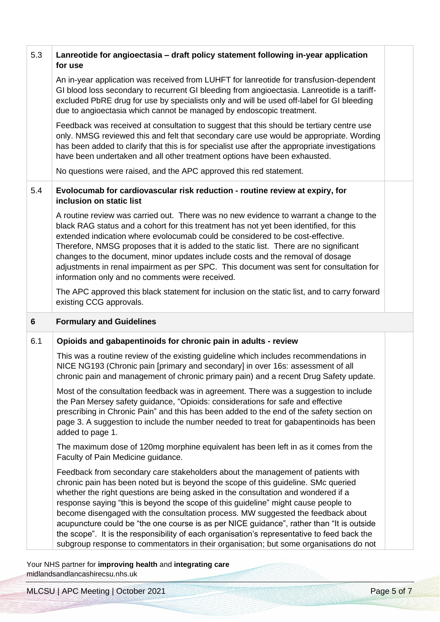| 5.3 | Lanreotide for angioectasia - draft policy statement following in-year application<br>for use                                                                                                                                                                                                                                                                                                                                                                                                                                                                                                                                                                                                                              |  |
|-----|----------------------------------------------------------------------------------------------------------------------------------------------------------------------------------------------------------------------------------------------------------------------------------------------------------------------------------------------------------------------------------------------------------------------------------------------------------------------------------------------------------------------------------------------------------------------------------------------------------------------------------------------------------------------------------------------------------------------------|--|
|     | An in-year application was received from LUHFT for lanreotide for transfusion-dependent<br>GI blood loss secondary to recurrent GI bleeding from angioectasia. Lanreotide is a tariff-<br>excluded PbRE drug for use by specialists only and will be used off-label for GI bleeding<br>due to angioectasia which cannot be managed by endoscopic treatment.                                                                                                                                                                                                                                                                                                                                                                |  |
|     | Feedback was received at consultation to suggest that this should be tertiary centre use<br>only. NMSG reviewed this and felt that secondary care use would be appropriate. Wording<br>has been added to clarify that this is for specialist use after the appropriate investigations<br>have been undertaken and all other treatment options have been exhausted.                                                                                                                                                                                                                                                                                                                                                         |  |
|     | No questions were raised, and the APC approved this red statement.                                                                                                                                                                                                                                                                                                                                                                                                                                                                                                                                                                                                                                                         |  |
| 5.4 | Evolocumab for cardiovascular risk reduction - routine review at expiry, for<br>inclusion on static list                                                                                                                                                                                                                                                                                                                                                                                                                                                                                                                                                                                                                   |  |
|     | A routine review was carried out. There was no new evidence to warrant a change to the<br>black RAG status and a cohort for this treatment has not yet been identified, for this<br>extended indication where evolocumab could be considered to be cost-effective.<br>Therefore, NMSG proposes that it is added to the static list. There are no significant<br>changes to the document, minor updates include costs and the removal of dosage<br>adjustments in renal impairment as per SPC. This document was sent for consultation for<br>information only and no comments were received.                                                                                                                               |  |
|     | The APC approved this black statement for inclusion on the static list, and to carry forward<br>existing CCG approvals.                                                                                                                                                                                                                                                                                                                                                                                                                                                                                                                                                                                                    |  |
| 6   | <b>Formulary and Guidelines</b>                                                                                                                                                                                                                                                                                                                                                                                                                                                                                                                                                                                                                                                                                            |  |
| 6.1 | Opioids and gabapentinoids for chronic pain in adults - review                                                                                                                                                                                                                                                                                                                                                                                                                                                                                                                                                                                                                                                             |  |
|     | This was a routine review of the existing guideline which includes recommendations in<br>NICE NG193 (Chronic pain [primary and secondary] in over 16s: assessment of all<br>chronic pain and management of chronic primary pain) and a recent Drug Safety update.                                                                                                                                                                                                                                                                                                                                                                                                                                                          |  |
|     | Most of the consultation feedback was in agreement. There was a suggestion to include<br>the Pan Mersey safety guidance, "Opioids: considerations for safe and effective<br>prescribing in Chronic Pain" and this has been added to the end of the safety section on<br>page 3. A suggestion to include the number needed to treat for gabapentinoids has been<br>added to page 1.                                                                                                                                                                                                                                                                                                                                         |  |
|     | The maximum dose of 120mg morphine equivalent has been left in as it comes from the<br>Faculty of Pain Medicine guidance.                                                                                                                                                                                                                                                                                                                                                                                                                                                                                                                                                                                                  |  |
|     | Feedback from secondary care stakeholders about the management of patients with<br>chronic pain has been noted but is beyond the scope of this guideline. SMc queried<br>whether the right questions are being asked in the consultation and wondered if a<br>response saying "this is beyond the scope of this guideline" might cause people to<br>become disengaged with the consultation process. MW suggested the feedback about<br>acupuncture could be "the one course is as per NICE guidance", rather than "It is outside<br>the scope". It is the responsibility of each organisation's representative to feed back the<br>subgroup response to commentators in their organisation; but some organisations do not |  |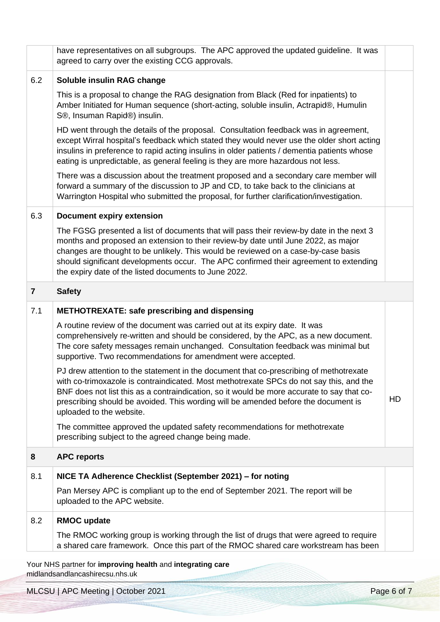| have representatives on all subgroups. The APC approved the updated guideline. It was<br>agreed to carry over the existing CCG approvals.                                                                                                                                                                                                                                                                              |    |
|------------------------------------------------------------------------------------------------------------------------------------------------------------------------------------------------------------------------------------------------------------------------------------------------------------------------------------------------------------------------------------------------------------------------|----|
| Soluble insulin RAG change                                                                                                                                                                                                                                                                                                                                                                                             |    |
| This is a proposal to change the RAG designation from Black (Red for inpatients) to<br>Amber Initiated for Human sequence (short-acting, soluble insulin, Actrapid®, Humulin<br>S <sup>®</sup> , Insuman Rapid <sup>®</sup> ) insulin.                                                                                                                                                                                 |    |
| HD went through the details of the proposal. Consultation feedback was in agreement,<br>except Wirral hospital's feedback which stated they would never use the older short acting<br>insulins in preference to rapid acting insulins in older patients / dementia patients whose<br>eating is unpredictable, as general feeling is they are more hazardous not less.                                                  |    |
| There was a discussion about the treatment proposed and a secondary care member will<br>forward a summary of the discussion to JP and CD, to take back to the clinicians at<br>Warrington Hospital who submitted the proposal, for further clarification/investigation.                                                                                                                                                |    |
| <b>Document expiry extension</b>                                                                                                                                                                                                                                                                                                                                                                                       |    |
| The FGSG presented a list of documents that will pass their review-by date in the next 3<br>months and proposed an extension to their review-by date until June 2022, as major<br>changes are thought to be unlikely. This would be reviewed on a case-by-case basis<br>should significant developments occur. The APC confirmed their agreement to extending<br>the expiry date of the listed documents to June 2022. |    |
| <b>Safety</b>                                                                                                                                                                                                                                                                                                                                                                                                          |    |
| <b>METHOTREXATE: safe prescribing and dispensing</b>                                                                                                                                                                                                                                                                                                                                                                   |    |
| A routine review of the document was carried out at its expiry date. It was<br>comprehensively re-written and should be considered, by the APC, as a new document.<br>The core safety messages remain unchanged. Consultation feedback was minimal but<br>supportive. Two recommendations for amendment were accepted.                                                                                                 |    |
| PJ drew attention to the statement in the document that co-prescribing of methotrexate<br>with co-trimoxazole is contraindicated. Most methotrexate SPCs do not say this, and the<br>BNF does not list this as a contraindication, so it would be more accurate to say that co-<br>prescribing should be avoided. This wording will be amended before the document is<br>uploaded to the website.                      | HD |
| The committee approved the updated safety recommendations for methotrexate<br>prescribing subject to the agreed change being made.                                                                                                                                                                                                                                                                                     |    |
| <b>APC reports</b>                                                                                                                                                                                                                                                                                                                                                                                                     |    |
| NICE TA Adherence Checklist (September 2021) - for noting                                                                                                                                                                                                                                                                                                                                                              |    |
| Pan Mersey APC is compliant up to the end of September 2021. The report will be<br>uploaded to the APC website.                                                                                                                                                                                                                                                                                                        |    |
| <b>RMOC update</b>                                                                                                                                                                                                                                                                                                                                                                                                     |    |
| The RMOC working group is working through the list of drugs that were agreed to require<br>a shared care framework. Once this part of the RMOC shared care workstream has been                                                                                                                                                                                                                                         |    |
|                                                                                                                                                                                                                                                                                                                                                                                                                        |    |